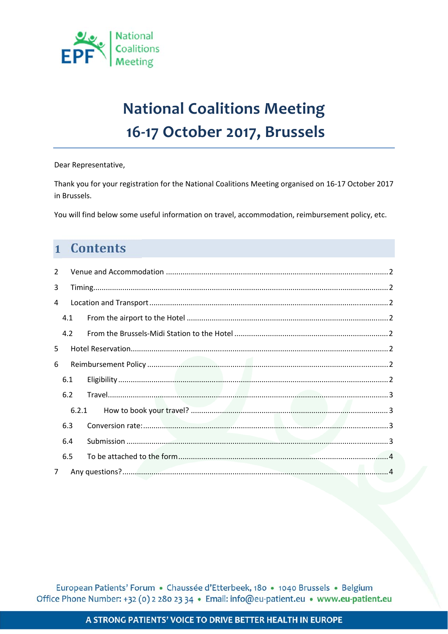

# **National Coalitions Meeting** 16-17 October 2017, Brussels

#### Dear Representative,

Thank you for your registration for the National Coalitions Meeting organised on 16-17 October 2017 in Brussels.

You will find below some useful information on travel, accommodation, reimbursement policy, etc.

## 1 Contents

| 2              |       |  |  |
|----------------|-------|--|--|
| 3              |       |  |  |
| 4              |       |  |  |
|                | 4.1   |  |  |
|                | 4.2   |  |  |
| 5              |       |  |  |
| 6              |       |  |  |
|                | 6.1   |  |  |
|                | 6.2   |  |  |
|                | 6.2.1 |  |  |
|                | 6.3   |  |  |
|                | 6.4   |  |  |
|                | 6.5   |  |  |
| $\overline{7}$ |       |  |  |

European Patients' Forum · Chaussée d'Etterbeek, 180 · 1040 Brussels · Belgium Office Phone Number: +32 (0) 2 280 23 34 · Email: info@eu-patient.eu · www.eu-patient.eu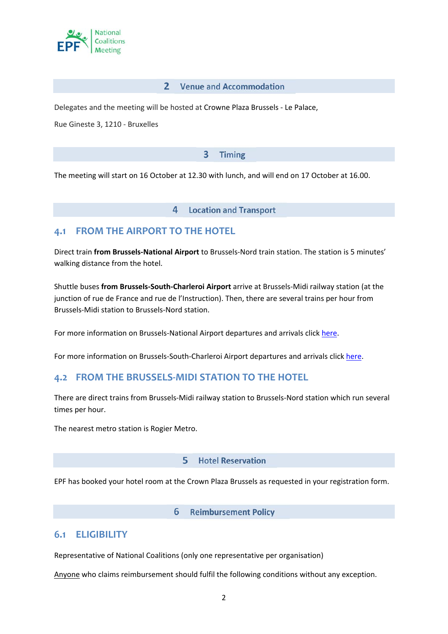

#### 2 Venue and Accommodation

Delegates and the meeting will be hosted at Crowne Plaza Brussels ‐ Le Palace,

Rue Gineste 3, 1210 ‐ Bruxelles

#### **Timing**  $\overline{\mathbf{3}}$

The meeting will start on 16 October at 12.30 with lunch, and will end on 17 October at 16.00.

4 **Location and Transport** 

### **4.1 FROM THE AIRPORT TO THE HOTEL**

Direct train **from Brussels‐National Airport** to Brussels‐Nord train station. The station is 5 minutes' walking distance from the hotel.

Shuttle buses **from Brussels‐South‐Charleroi Airport** arrive at Brussels‐Midi railway station (at the junction of rue de France and rue de l'Instruction). Then, there are several trains per hour from Brussels‐Midi station to Brussels‐Nord station.

For more information on Brussels-National Airport departures and arrivals click here.

For more information on Brussels‐South‐Charleroi Airport departures and arrivals click here.

### **4.2 FROM THE BRUSSELS‐MIDI STATION TO THE HOTEL**

There are direct trains from Brussels‐Midi railway station to Brussels‐Nord station which run several times per hour.

The nearest metro station is Rogier Metro.

#### **Hotel Reservation** 5

EPF has booked your hotel room at the Crown Plaza Brussels as requested in your registration form.

#### **Reimbursement Policy** 6

#### **6.1 ELIGIBILITY**

Representative of National Coalitions (only one representative per organisation)

Anyone who claims reimbursement should fulfil the following conditions without any exception.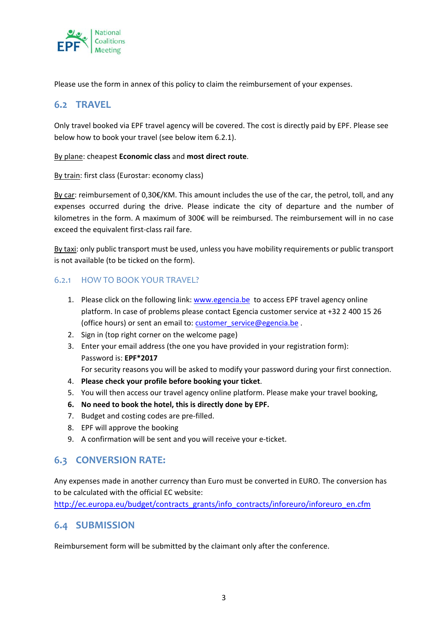

Please use the form in annex of this policy to claim the reimbursement of your expenses.

### **6.2 TRAVEL**

Only travel booked via EPF travel agency will be covered. The cost is directly paid by EPF. Please see below how to book your travel (see below item 6.2.1).

#### By plane: cheapest **Economic class** and **most direct route**.

By train: first class (Eurostar: economy class)

By car: reimbursement of 0,30€/KM. This amount includes the use of the car, the petrol, toll, and any expenses occurred during the drive. Please indicate the city of departure and the number of kilometres in the form. A maximum of 300€ will be reimbursed. The reimbursement will in no case exceed the equivalent first-class rail fare.

By taxi: only public transport must be used, unless you have mobility requirements or public transport is not available (to be ticked on the form).

#### 6.2.1 HOW TO BOOK YOUR TRAVEL?

- 1. Please click on the following link: www.egencia.be to access EPF travel agency online platform. In case of problems please contact Egencia customer service at +32 2 400 15 26 (office hours) or sent an email to: customer\_service@egencia.be .
- 2. Sign in (top right corner on the welcome page)
- 3. Enter your email address (the one you have provided in your registration form): Password is: **EPF\*2017**
- For security reasons you will be asked to modify your password during your first connection.
- 4. **Please check your profile before booking your ticket**.
- 5. You will then access our travel agency online platform. Please make your travel booking,
- **6. No need to book the hotel, this is directly done by EPF.**
- 7. Budget and costing codes are pre-filled.
- 8. EPF will approve the booking
- 9. A confirmation will be sent and you will receive your e-ticket.

### **6.3 CONVERSION RATE:**

Any expenses made in another currency than Euro must be converted in EURO. The conversion has to be calculated with the official EC website:

http://ec.europa.eu/budget/contracts\_grants/info\_contracts/inforeuro/inforeuro\_en.cfm

### **6.4 SUBMISSION**

Reimbursement form will be submitted by the claimant only after the conference.